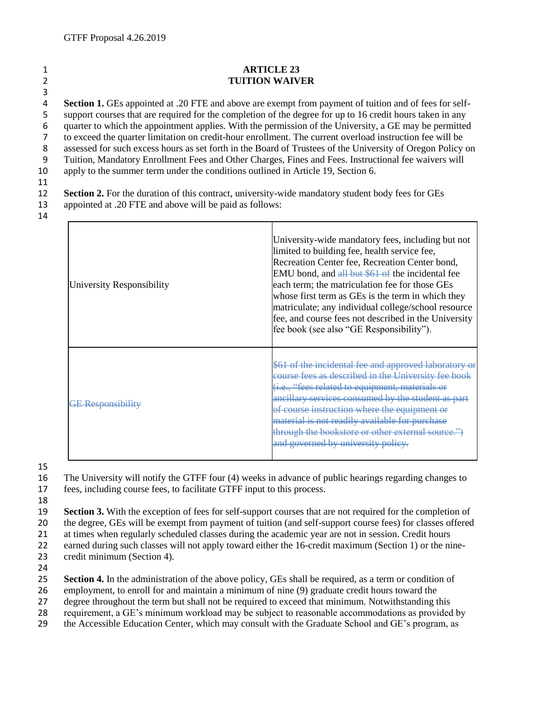## 1 **ARTICLE 23**  2 **TUITION WAIVER**

3 **Section 1.** GEs appointed at .20 FTE and above are exempt from payment of tuition and of fees for self- support courses that are required for the completion of the degree for up to 16 credit hours taken in any quarter to which the appointment applies. With the permission of the University, a GE may be permitted to exceed the quarter limitation on credit-hour enrollment. The current overload instruction fee will be assessed for such excess hours as set forth in the Board of Trustees of the University of Oregon Policy on Tuition, Mandatory Enrollment Fees and Other Charges, Fines and Fees. Instructional fee waivers will apply to the summer term under the conditions outlined in Article 19, Section 6.

## 11

12 **Section 2.** For the duration of this contract, university-wide mandatory student body fees for GEs 13 appointed at .20 FTE and above will be paid as follows:

14

| University Responsibility | University-wide mandatory fees, including but not<br>limited to building fee, health service fee,<br>Recreation Center fee, Recreation Center bond,<br>EMU bond, and all but \$61 of the incidental fee<br>each term; the matriculation fee for those GEs<br>whose first term as GEs is the term in which they<br>matriculate; any individual college/school resource<br>fee, and course fees not described in the University<br>fee book (see also "GE Responsibility"). |
|---------------------------|---------------------------------------------------------------------------------------------------------------------------------------------------------------------------------------------------------------------------------------------------------------------------------------------------------------------------------------------------------------------------------------------------------------------------------------------------------------------------|
| <b>GE Responsibility</b>  | \$61 of the incidental fee and approved laboratory or<br>course fees as described in the University fee book<br>(i.e., "fees related to equipment, materials or<br>ancillary services consumed by the student as part<br>of course instruction where the equipment or<br>material is not readily available for purchase<br>through the bookstore or other external source.")<br>and governed by university policy.                                                        |

15

16 The University will notify the GTFF four (4) weeks in advance of public hearings regarding changes to 17 fees, including course fees, to facilitate GTFF input to this process.

18

19 **Section 3.** With the exception of fees for self-support courses that are not required for the completion of

20 the degree, GEs will be exempt from payment of tuition (and self-support course fees) for classes offered

21 at times when regularly scheduled classes during the academic year are not in session. Credit hours

22 earned during such classes will not apply toward either the 16-credit maximum (Section 1) or the nine-

- 23 credit minimum (Section 4).
- 24

25 **Section 4.** In the administration of the above policy, GEs shall be required, as a term or condition of

26 employment, to enroll for and maintain a minimum of nine (9) graduate credit hours toward the

27 degree throughout the term but shall not be required to exceed that minimum. Notwithstanding this

- 28 requirement, a GE's minimum workload may be subject to reasonable accommodations as provided by
- 29 the Accessible Education Center, which may consult with the Graduate School and GE's program, as